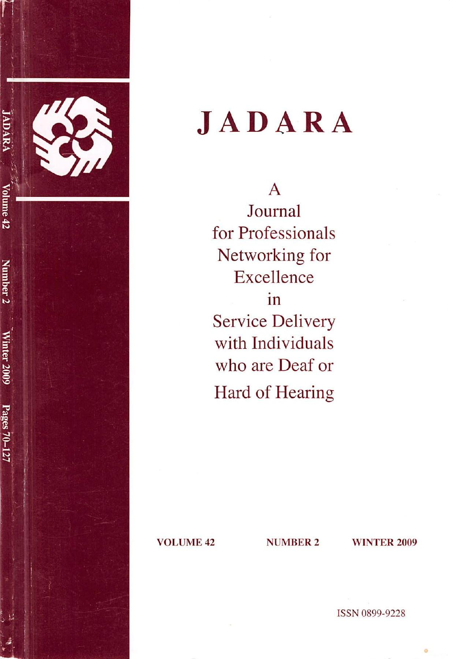

## **JADARA**

A Journal for Professionals Networking for Excellence in Service Delivery with Individuals who are Deaf or Hard of Hearing

VOLUME 42 NUMBER 2 WINTER 2009

ISSN 0899-9228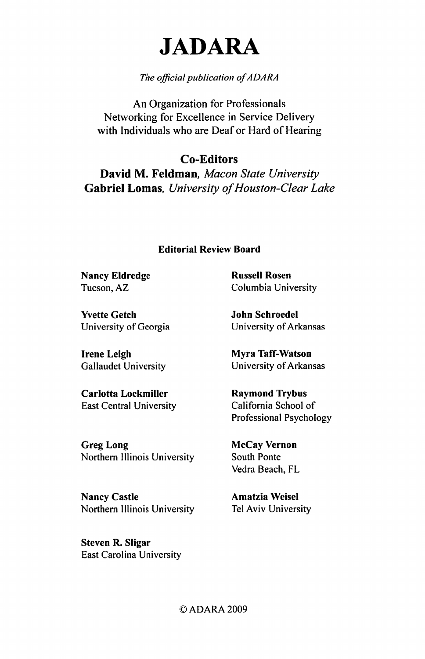## **JADARA**

The official publication of ADARA

An Organization for Professionals Networking for Excellence in Service Delivery with Individuals who are Deaf or Hard of Hearing

Co-Editors David M. Feldman, Macon State University Gabriel Lomas, University of Houston-Clear Lake

## Editorial Review Board

Nancy Eldredge Tucson, AZ

Yvette Getch University of Georgia

Irene Leigh Gallaudet University

Carlotta Lockmiller East Central University

Greg Long Northern Illinois University

Nancy Castle Northern Illinois University

Steven R. Sligar East Carolina University

Russell Rosen Columbia University

John Schroedel University of Arkansas

Myra Taff-Watson University of Arkansas

Raymond Trybus California School of Professional Psychology

McCay Vernon South Ponte Vedra Beach, FL

Amatzia Weisel Tel Aviv University